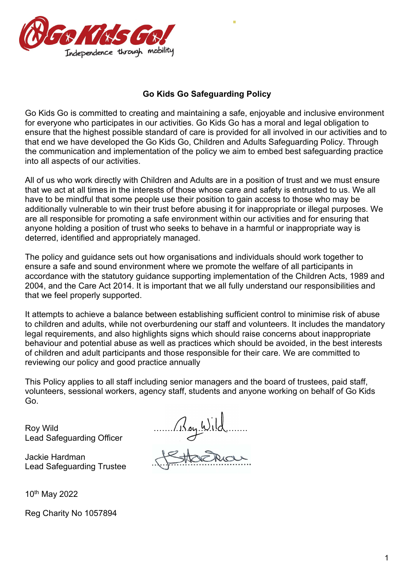

#### **Go Kids Go Safeguarding Policy**

E

Go Kids Go is committed to creating and maintaining a safe, enjoyable and inclusive environment for everyone who participates in our activities. Go Kids Go has a moral and legal obligation to ensure that the highest possible standard of care is provided for all involved in our activities and to that end we have developed the Go Kids Go, Children and Adults Safeguarding Policy. Through the communication and implementation of the policy we aim to embed best safeguarding practice into all aspects of our activities.

All of us who work directly with Children and Adults are in a position of trust and we must ensure that we act at all times in the interests of those whose care and safety is entrusted to us. We all have to be mindful that some people use their position to gain access to those who may be additionally vulnerable to win their trust before abusing it for inappropriate or illegal purposes. We are all responsible for promoting a safe environment within our activities and for ensuring that anyone holding a position of trust who seeks to behave in a harmful or inappropriate way is deterred, identified and appropriately managed.

The policy and guidance sets out how organisations and individuals should work together to ensure a safe and sound environment where we promote the welfare of all participants in accordance with the statutory guidance supporting implementation of the Children Acts, 1989 and 2004, and the Care Act 2014. It is important that we all fully understand our responsibilities and that we feel properly supported.

It attempts to achieve a balance between establishing sufficient control to minimise risk of abuse to children and adults, while not overburdening our staff and volunteers. It includes the mandatory legal requirements, and also highlights signs which should raise concerns about inappropriate behaviour and potential abuse as well as practices which should be avoided, in the best interests of children and adult participants and those responsible for their care. We are committed to reviewing our policy and good practice annually

This Policy applies to all staff including senior managers and the board of trustees, paid staff, volunteers, sessional workers, agency staff, students and anyone working on behalf of Go Kids Go.

Lead Safeguarding Officer

Jackie Hardman Lead Safeguarding Trustee

10th May 2022

Reg Charity No 1057894

Roy Wild<br>Lead Safeguarding Officer<br>Jackie Hardman<br>Jackie Hardman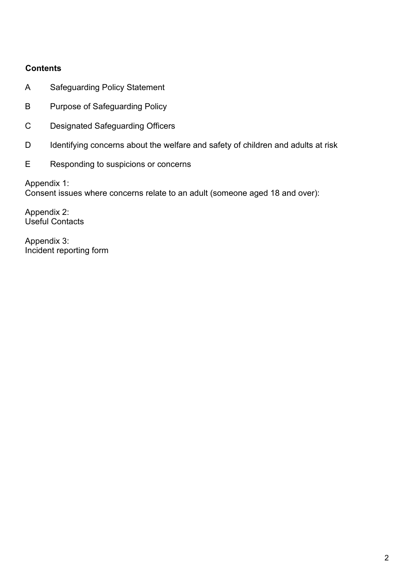## **Contents**

- A Safeguarding Policy Statement
- B Purpose of Safeguarding Policy
- C Designated Safeguarding Officers
- D Identifying concerns about the welfare and safety of children and adults at risk
- E Responding to suspicions or concerns

Appendix 1: Consent issues where concerns relate to an adult (someone aged 18 and over):

Appendix 2: Useful Contacts

Appendix 3: Incident reporting form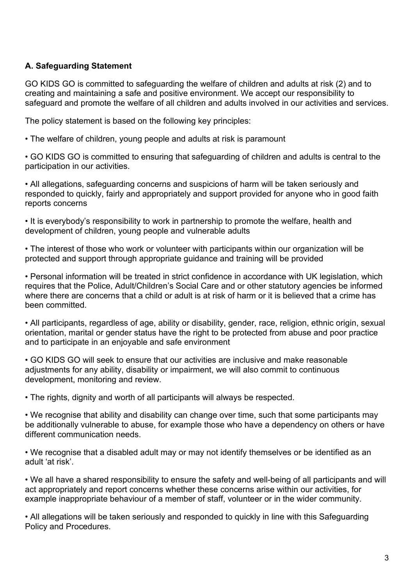## **A. Safeguarding Statement**

GO KIDS GO is committed to safeguarding the welfare of children and adults at risk (2) and to creating and maintaining a safe and positive environment. We accept our responsibility to safeguard and promote the welfare of all children and adults involved in our activities and services.

The policy statement is based on the following key principles:

• The welfare of children, young people and adults at risk is paramount

• GO KIDS GO is committed to ensuring that safeguarding of children and adults is central to the participation in our activities.

• All allegations, safeguarding concerns and suspicions of harm will be taken seriously and responded to quickly, fairly and appropriately and support provided for anyone who in good faith reports concerns

• It is everybody's responsibility to work in partnership to promote the welfare, health and development of children, young people and vulnerable adults

• The interest of those who work or volunteer with participants within our organization will be protected and support through appropriate guidance and training will be provided

• Personal information will be treated in strict confidence in accordance with UK legislation, which requires that the Police, Adult/Children's Social Care and or other statutory agencies be informed where there are concerns that a child or adult is at risk of harm or it is believed that a crime has been committed.

• All participants, regardless of age, ability or disability, gender, race, religion, ethnic origin, sexual orientation, marital or gender status have the right to be protected from abuse and poor practice and to participate in an enjoyable and safe environment

• GO KIDS GO will seek to ensure that our activities are inclusive and make reasonable adjustments for any ability, disability or impairment, we will also commit to continuous development, monitoring and review.

• The rights, dignity and worth of all participants will always be respected.

• We recognise that ability and disability can change over time, such that some participants may be additionally vulnerable to abuse, for example those who have a dependency on others or have different communication needs.

• We recognise that a disabled adult may or may not identify themselves or be identified as an adult 'at risk'.

• We all have a shared responsibility to ensure the safety and well-being of all participants and will act appropriately and report concerns whether these concerns arise within our activities, for example inappropriate behaviour of a member of staff, volunteer or in the wider community.

• All allegations will be taken seriously and responded to quickly in line with this Safeguarding Policy and Procedures.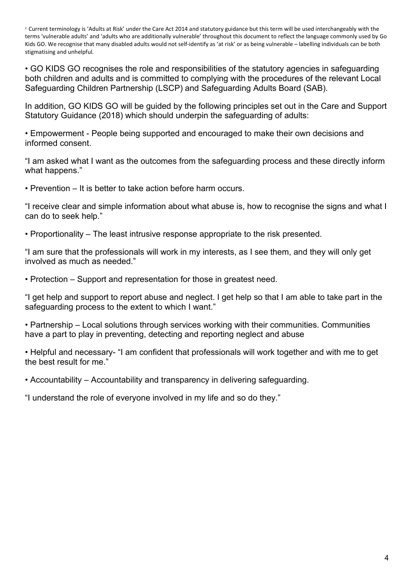<sup>2</sup> Current terminology is 'Adults at Risk' under the Care Act 2014 and statutory guidance but this term will be used interchangeably with the terms 'vulnerable adults' and 'adults who are additionally vulnerable' throughout this document to reflect the language commonly used by Go Kids GO. We recognise that many disabled adults would not self-identify as 'at risk' or as being vulnerable – labelling individuals can be both stigmatising and unhelpful.

• GO KIDS GO recognises the role and responsibilities of the statutory agencies in safeguarding both children and adults and is committed to complying with the procedures of the relevant Local Safeguarding Children Partnership (LSCP) and Safeguarding Adults Board (SAB).

In addition, GO KIDS GO will be guided by the following principles set out in the Care and Support Statutory Guidance (2018) which should underpin the safeguarding of adults:

• Empowerment - People being supported and encouraged to make their own decisions and informed consent.

"I am asked what I want as the outcomes from the safeguarding process and these directly inform what happens."

• Prevention – It is better to take action before harm occurs.

"I receive clear and simple information about what abuse is, how to recognise the signs and what I can do to seek help."

• Proportionality – The least intrusive response appropriate to the risk presented.

"I am sure that the professionals will work in my interests, as I see them, and they will only get involved as much as needed."

• Protection – Support and representation for those in greatest need.

"I get help and support to report abuse and neglect. I get help so that I am able to take part in the safeguarding process to the extent to which I want."

• Partnership – Local solutions through services working with their communities. Communities have a part to play in preventing, detecting and reporting neglect and abuse

• Helpful and necessary- "I am confident that professionals will work together and with me to get the best result for me."

• Accountability – Accountability and transparency in delivering safeguarding.

"I understand the role of everyone involved in my life and so do they."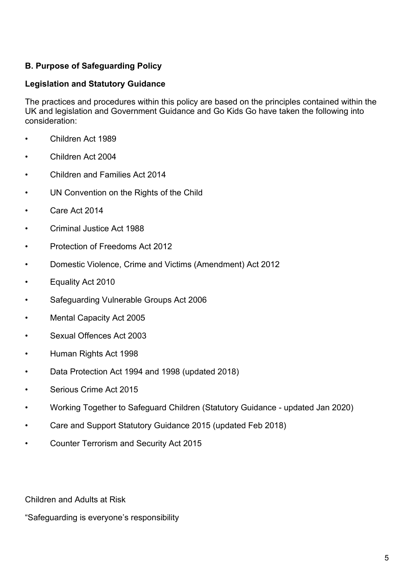## **B. Purpose of Safeguarding Policy**

#### **Legislation and Statutory Guidance**

The practices and procedures within this policy are based on the principles contained within the UK and legislation and Government Guidance and Go Kids Go have taken the following into consideration:

- Children Act 1989
- Children Act 2004
- Children and Families Act 2014
- UN Convention on the Rights of the Child
- Care Act 2014
- Criminal Justice Act 1988
- Protection of Freedoms Act 2012
- Domestic Violence, Crime and Victims (Amendment) Act 2012
- Equality Act 2010
- Safeguarding Vulnerable Groups Act 2006
- Mental Capacity Act 2005
- Sexual Offences Act 2003
- Human Rights Act 1998
- Data Protection Act 1994 and 1998 (updated 2018)
- Serious Crime Act 2015
- Working Together to Safeguard Children (Statutory Guidance updated Jan 2020)
- Care and Support Statutory Guidance 2015 (updated Feb 2018)
- Counter Terrorism and Security Act 2015

Children and Adults at Risk

"Safeguarding is everyone's responsibility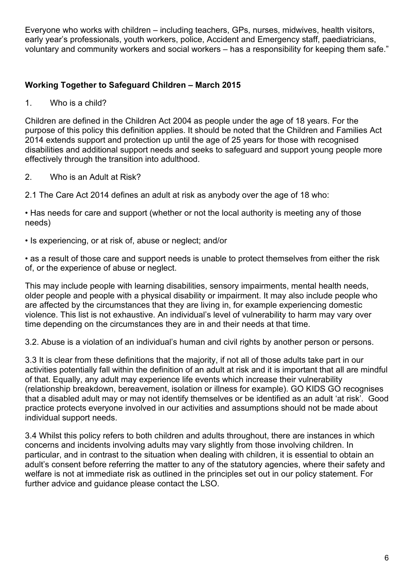Everyone who works with children – including teachers, GPs, nurses, midwives, health visitors, early year's professionals, youth workers, police, Accident and Emergency staff, paediatricians, voluntary and community workers and social workers – has a responsibility for keeping them safe."

## **Working Together to Safeguard Children – March 2015**

1. Who is a child?

Children are defined in the Children Act 2004 as people under the age of 18 years. For the purpose of this policy this definition applies. It should be noted that the Children and Families Act 2014 extends support and protection up until the age of 25 years for those with recognised disabilities and additional support needs and seeks to safeguard and support young people more effectively through the transition into adulthood.

2. Who is an Adult at Risk?

2.1 The Care Act 2014 defines an adult at risk as anybody over the age of 18 who:

• Has needs for care and support (whether or not the local authority is meeting any of those needs)

• Is experiencing, or at risk of, abuse or neglect; and/or

• as a result of those care and support needs is unable to protect themselves from either the risk of, or the experience of abuse or neglect.

This may include people with learning disabilities, sensory impairments, mental health needs, older people and people with a physical disability or impairment. It may also include people who are affected by the circumstances that they are living in, for example experiencing domestic violence. This list is not exhaustive. An individual's level of vulnerability to harm may vary over time depending on the circumstances they are in and their needs at that time.

3.2. Abuse is a violation of an individual's human and civil rights by another person or persons.

3.3 It is clear from these definitions that the majority, if not all of those adults take part in our activities potentially fall within the definition of an adult at risk and it is important that all are mindful of that. Equally, any adult may experience life events which increase their vulnerability (relationship breakdown, bereavement, isolation or illness for example). GO KIDS GO recognises that a disabled adult may or may not identify themselves or be identified as an adult 'at risk'. Good practice protects everyone involved in our activities and assumptions should not be made about individual support needs.

3.4 Whilst this policy refers to both children and adults throughout, there are instances in which concerns and incidents involving adults may vary slightly from those involving children. In particular, and in contrast to the situation when dealing with children, it is essential to obtain an adult's consent before referring the matter to any of the statutory agencies, where their safety and welfare is not at immediate risk as outlined in the principles set out in our policy statement. For further advice and guidance please contact the LSO.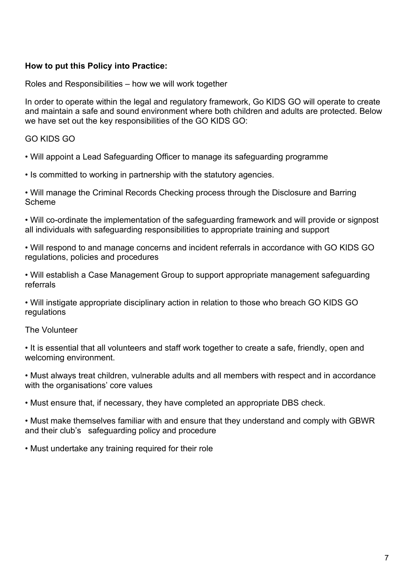#### **How to put this Policy into Practice:**

Roles and Responsibilities – how we will work together

In order to operate within the legal and regulatory framework, Go KIDS GO will operate to create and maintain a safe and sound environment where both children and adults are protected. Below we have set out the key responsibilities of the GO KIDS GO:

#### GO KIDS GO

• Will appoint a Lead Safeguarding Officer to manage its safeguarding programme

• Is committed to working in partnership with the statutory agencies.

• Will manage the Criminal Records Checking process through the Disclosure and Barring Scheme

• Will co-ordinate the implementation of the safeguarding framework and will provide or signpost all individuals with safeguarding responsibilities to appropriate training and support

• Will respond to and manage concerns and incident referrals in accordance with GO KIDS GO regulations, policies and procedures

• Will establish a Case Management Group to support appropriate management safeguarding referrals

• Will instigate appropriate disciplinary action in relation to those who breach GO KIDS GO regulations

#### The Volunteer

• It is essential that all volunteers and staff work together to create a safe, friendly, open and welcoming environment.

• Must always treat children, vulnerable adults and all members with respect and in accordance with the organisations' core values

• Must ensure that, if necessary, they have completed an appropriate DBS check.

• Must make themselves familiar with and ensure that they understand and comply with GBWR and their club's safeguarding policy and procedure

• Must undertake any training required for their role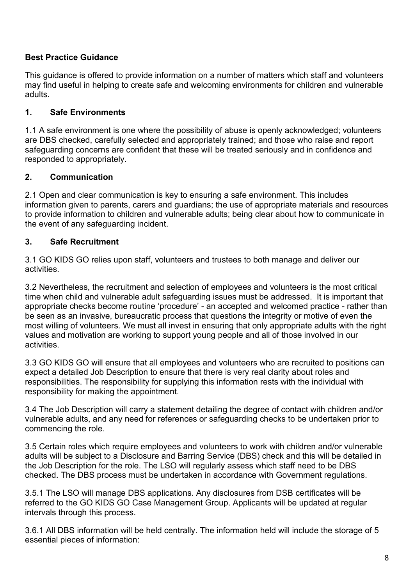# **Best Practice Guidance**

This guidance is offered to provide information on a number of matters which staff and volunteers may find useful in helping to create safe and welcoming environments for children and vulnerable adults.

## **1. Safe Environments**

1.1 A safe environment is one where the possibility of abuse is openly acknowledged; volunteers are DBS checked, carefully selected and appropriately trained; and those who raise and report safeguarding concerns are confident that these will be treated seriously and in confidence and responded to appropriately.

## **2. Communication**

2.1 Open and clear communication is key to ensuring a safe environment. This includes information given to parents, carers and guardians; the use of appropriate materials and resources to provide information to children and vulnerable adults; being clear about how to communicate in the event of any safeguarding incident.

## **3. Safe Recruitment**

3.1 GO KIDS GO relies upon staff, volunteers and trustees to both manage and deliver our activities.

3.2 Nevertheless, the recruitment and selection of employees and volunteers is the most critical time when child and vulnerable adult safeguarding issues must be addressed. It is important that appropriate checks become routine 'procedure' - an accepted and welcomed practice - rather than be seen as an invasive, bureaucratic process that questions the integrity or motive of even the most willing of volunteers. We must all invest in ensuring that only appropriate adults with the right values and motivation are working to support young people and all of those involved in our activities.

3.3 GO KIDS GO will ensure that all employees and volunteers who are recruited to positions can expect a detailed Job Description to ensure that there is very real clarity about roles and responsibilities. The responsibility for supplying this information rests with the individual with responsibility for making the appointment.

3.4 The Job Description will carry a statement detailing the degree of contact with children and/or vulnerable adults, and any need for references or safeguarding checks to be undertaken prior to commencing the role.

3.5 Certain roles which require employees and volunteers to work with children and/or vulnerable adults will be subject to a Disclosure and Barring Service (DBS) check and this will be detailed in the Job Description for the role. The LSO will regularly assess which staff need to be DBS checked. The DBS process must be undertaken in accordance with Government regulations.

3.5.1 The LSO will manage DBS applications. Any disclosures from DSB certificates will be referred to the GO KIDS GO Case Management Group. Applicants will be updated at regular intervals through this process.

3.6.1 All DBS information will be held centrally. The information held will include the storage of 5 essential pieces of information: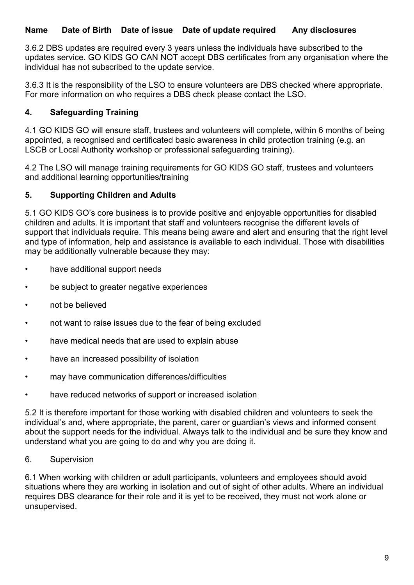#### **Name Date of Birth Date of issue Date of update required Any disclosures**

3.6.2 DBS updates are required every 3 years unless the individuals have subscribed to the updates service. GO KIDS GO CAN NOT accept DBS certificates from any organisation where the individual has not subscribed to the update service.

3.6.3 It is the responsibility of the LSO to ensure volunteers are DBS checked where appropriate. For more information on who requires a DBS check please contact the LSO.

#### **4. Safeguarding Training**

4.1 GO KIDS GO will ensure staff, trustees and volunteers will complete, within 6 months of being appointed, a recognised and certificated basic awareness in child protection training (e.g. an LSCB or Local Authority workshop or professional safeguarding training).

4.2 The LSO will manage training requirements for GO KIDS GO staff, trustees and volunteers and additional learning opportunities/training

#### **5. Supporting Children and Adults**

5.1 GO KIDS GO's core business is to provide positive and enjoyable opportunities for disabled children and adults. It is important that staff and volunteers recognise the different levels of support that individuals require. This means being aware and alert and ensuring that the right level and type of information, help and assistance is available to each individual. Those with disabilities may be additionally vulnerable because they may:

- have additional support needs
- be subject to greater negative experiences
- not be believed
- not want to raise issues due to the fear of being excluded
- have medical needs that are used to explain abuse
- have an increased possibility of isolation
- may have communication differences/difficulties
- have reduced networks of support or increased isolation

5.2 It is therefore important for those working with disabled children and volunteers to seek the individual's and, where appropriate, the parent, carer or guardian's views and informed consent about the support needs for the individual. Always talk to the individual and be sure they know and understand what you are going to do and why you are doing it.

#### 6. Supervision

6.1 When working with children or adult participants, volunteers and employees should avoid situations where they are working in isolation and out of sight of other adults. Where an individual requires DBS clearance for their role and it is yet to be received, they must not work alone or unsupervised.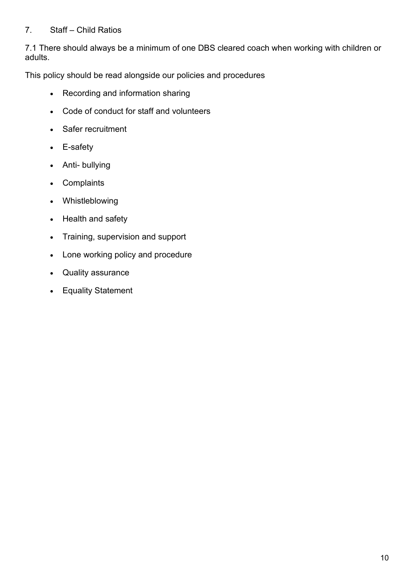#### 7. Staff – Child Ratios

7.1 There should always be a minimum of one DBS cleared coach when working with children or adults.

This policy should be read alongside our policies and procedures

- Recording and information sharing
- Code of conduct for staff and volunteers
- Safer recruitment
- E-safety
- Anti- bullying
- Complaints
- Whistleblowing
- Health and safety
- Training, supervision and support
- Lone working policy and procedure
- Quality assurance
- Equality Statement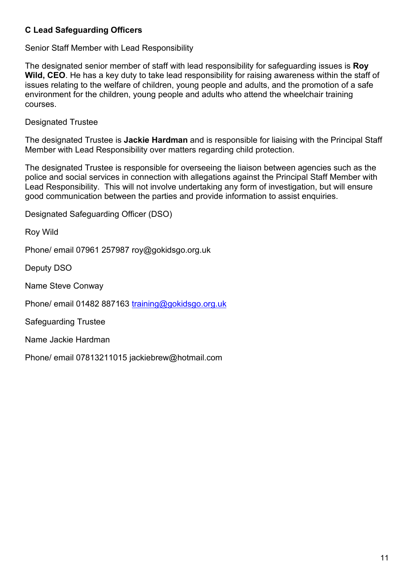# **C Lead Safeguarding Officers**

Senior Staff Member with Lead Responsibility

The designated senior member of staff with lead responsibility for safeguarding issues is **Roy Wild, CEO**. He has a key duty to take lead responsibility for raising awareness within the staff of issues relating to the welfare of children, young people and adults, and the promotion of a safe environment for the children, young people and adults who attend the wheelchair training courses.

Designated Trustee

The designated Trustee is **Jackie Hardman** and is responsible for liaising with the Principal Staff Member with Lead Responsibility over matters regarding child protection.

The designated Trustee is responsible for overseeing the liaison between agencies such as the police and social services in connection with allegations against the Principal Staff Member with Lead Responsibility. This will not involve undertaking any form of investigation, but will ensure good communication between the parties and provide information to assist enquiries.

Designated Safeguarding Officer (DSO)

Roy Wild

Phone/ email 07961 257987 roy@gokidsgo.org.uk

Deputy DSO

Name Steve Conway

Phone/ email 01482 887163 [training@gokidsgo.org.uk](mailto:training@gokidsgo.org.uk)

Safeguarding Trustee

Name Jackie Hardman

Phone/ email 07813211015 jackiebrew@hotmail.com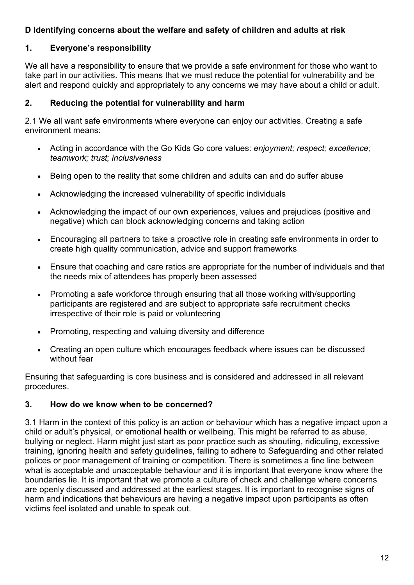#### **D Identifying concerns about the welfare and safety of children and adults at risk**

## **1. Everyone's responsibility**

We all have a responsibility to ensure that we provide a safe environment for those who want to take part in our activities. This means that we must reduce the potential for vulnerability and be alert and respond quickly and appropriately to any concerns we may have about a child or adult.

#### **2. Reducing the potential for vulnerability and harm**

2.1 We all want safe environments where everyone can enjoy our activities. Creating a safe environment means:

- Acting in accordance with the Go Kids Go core values: *enjoyment; respect; excellence; teamwork; trust; inclusiveness*
- Being open to the reality that some children and adults can and do suffer abuse
- Acknowledging the increased vulnerability of specific individuals
- Acknowledging the impact of our own experiences, values and prejudices (positive and negative) which can block acknowledging concerns and taking action
- Encouraging all partners to take a proactive role in creating safe environments in order to create high quality communication, advice and support frameworks
- Ensure that coaching and care ratios are appropriate for the number of individuals and that the needs mix of attendees has properly been assessed
- Promoting a safe workforce through ensuring that all those working with/supporting participants are registered and are subject to appropriate safe recruitment checks irrespective of their role is paid or volunteering
- Promoting, respecting and valuing diversity and difference
- Creating an open culture which encourages feedback where issues can be discussed without fear

Ensuring that safeguarding is core business and is considered and addressed in all relevant procedures.

#### **3. How do we know when to be concerned?**

3.1 Harm in the context of this policy is an action or behaviour which has a negative impact upon a child or adult's physical, or emotional health or wellbeing. This might be referred to as abuse, bullying or neglect. Harm might just start as poor practice such as shouting, ridiculing, excessive training, ignoring health and safety guidelines, failing to adhere to Safeguarding and other related polices or poor management of training or competition. There is sometimes a fine line between what is acceptable and unacceptable behaviour and it is important that everyone know where the boundaries lie. It is important that we promote a culture of check and challenge where concerns are openly discussed and addressed at the earliest stages. It is important to recognise signs of harm and indications that behaviours are having a negative impact upon participants as often victims feel isolated and unable to speak out.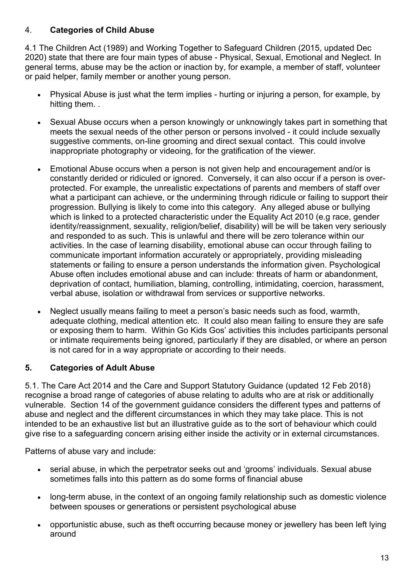# 4. **Categories of Child Abuse**

4.1 The Children Act (1989) and Working Together to Safeguard Children (2015, updated Dec 2020) state that there are four main types of abuse - Physical, Sexual, Emotional and Neglect. In general terms, abuse may be the action or inaction by, for example, a member of staff, volunteer or paid helper, family member or another young person.

- Physical Abuse is just what the term implies hurting or injuring a person, for example, by hitting them...
- Sexual Abuse occurs when a person knowingly or unknowingly takes part in something that meets the sexual needs of the other person or persons involved - it could include sexually suggestive comments, on-line grooming and direct sexual contact. This could involve inappropriate photography or videoing, for the gratification of the viewer.
- Emotional Abuse occurs when a person is not given help and encouragement and/or is constantly derided or ridiculed or ignored. Conversely, it can also occur if a person is overprotected. For example, the unrealistic expectations of parents and members of staff over what a participant can achieve, or the undermining through ridicule or failing to support their progression. Bullying is likely to come into this category. Any alleged abuse or bullying which is linked to a protected characteristic under the Equality Act 2010 (e.g race, gender identity/reassignment, sexuality, religion/belief, disability) will be will be taken very seriously and responded to as such. This is unlawful and there will be zero tolerance within our activities. In the case of learning disability, emotional abuse can occur through failing to communicate important information accurately or appropriately, providing misleading statements or failing to ensure a person understands the information given. Psychological Abuse often includes emotional abuse and can include: threats of harm or abandonment, deprivation of contact, humiliation, blaming, controlling, intimidating, coercion, harassment, verbal abuse, isolation or withdrawal from services or supportive networks.
- Neglect usually means failing to meet a person's basic needs such as food, warmth, adequate clothing, medical attention etc. It could also mean failing to ensure they are safe or exposing them to harm. Within Go Kids Gos' activities this includes participants personal or intimate requirements being ignored, particularly if they are disabled, or where an person is not cared for in a way appropriate or according to their needs.

# **5. Categories of Adult Abuse**

5.1. The Care Act 2014 and the Care and Support Statutory Guidance (updated 12 Feb 2018) recognise a broad range of categories of abuse relating to adults who are at risk or additionally vulnerable. Section 14 of the government guidance considers the different types and patterns of abuse and neglect and the different circumstances in which they may take place. This is not intended to be an exhaustive list but an illustrative guide as to the sort of behaviour which could give rise to a safeguarding concern arising either inside the activity or in external circumstances.

Patterns of abuse vary and include:

- serial abuse, in which the perpetrator seeks out and 'grooms' individuals. Sexual abuse sometimes falls into this pattern as do some forms of financial abuse
- long-term abuse, in the context of an ongoing family relationship such as domestic violence between spouses or generations or persistent psychological abuse
- opportunistic abuse, such as theft occurring because money or jewellery has been left lying around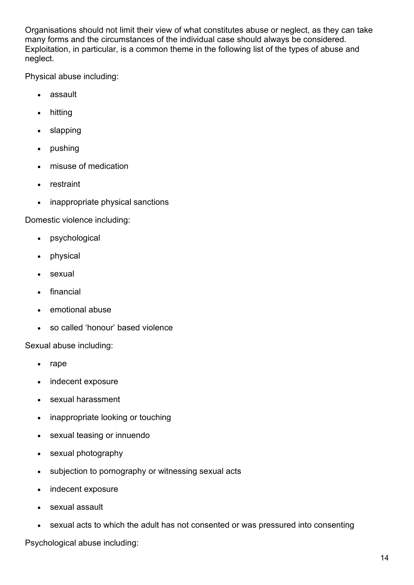Organisations should not limit their view of what constitutes abuse or neglect, as they can take many forms and the circumstances of the individual case should always be considered. Exploitation, in particular, is a common theme in the following list of the types of abuse and neglect.

Physical abuse including:

- assault
- hitting
- slapping
- pushing
- misuse of medication
- restraint
- inappropriate physical sanctions

Domestic violence including:

- psychological
- physical
- sexual
- financial
- emotional abuse
- so called 'honour' based violence

Sexual abuse including:

- rape
- indecent exposure
- sexual harassment
- inappropriate looking or touching
- sexual teasing or innuendo
- sexual photography
- subjection to pornography or witnessing sexual acts
- indecent exposure
- sexual assault
- sexual acts to which the adult has not consented or was pressured into consenting

Psychological abuse including: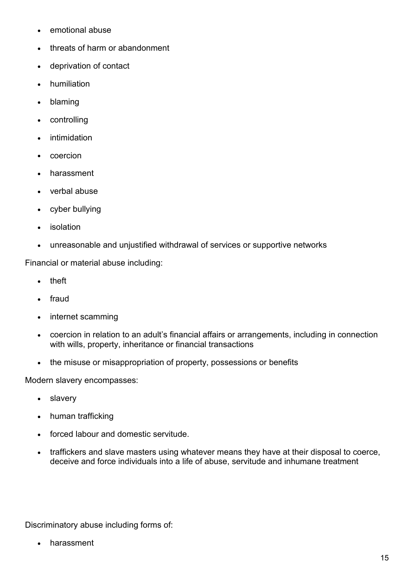- emotional abuse
- threats of harm or abandonment
- deprivation of contact
- humiliation
- blaming
- **controlling**
- **intimidation**
- coercion
- harassment
- verbal abuse
- cyber bullying
- **isolation**
- unreasonable and unjustified withdrawal of services or supportive networks

Financial or material abuse including:

- theft
- fraud
- internet scamming
- coercion in relation to an adult's financial affairs or arrangements, including in connection with wills, property, inheritance or financial transactions
- the misuse or misappropriation of property, possessions or benefits

Modern slavery encompasses:

- slavery
- human trafficking
- forced labour and domestic servitude.
- traffickers and slave masters using whatever means they have at their disposal to coerce, deceive and force individuals into a life of abuse, servitude and inhumane treatment

Discriminatory abuse including forms of:

• harassment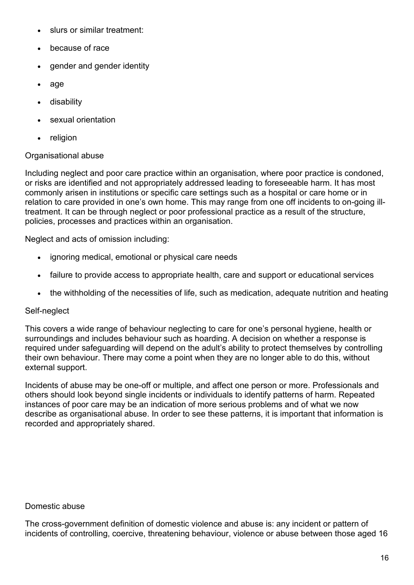- slurs or similar treatment:
- because of race
- gender and gender identity
- age
- disability
- sexual orientation
- religion

#### Organisational abuse

Including neglect and poor care practice within an organisation, where poor practice is condoned, or risks are identified and not appropriately addressed leading to foreseeable harm. It has most commonly arisen in institutions or specific care settings such as a hospital or care home or in relation to care provided in one's own home. This may range from one off incidents to on-going illtreatment. It can be through neglect or poor professional practice as a result of the structure, policies, processes and practices within an organisation.

Neglect and acts of omission including:

- ignoring medical, emotional or physical care needs
- failure to provide access to appropriate health, care and support or educational services
- the withholding of the necessities of life, such as medication, adequate nutrition and heating

#### Self-neglect

This covers a wide range of behaviour neglecting to care for one's personal hygiene, health or surroundings and includes behaviour such as hoarding. A decision on whether a response is required under safeguarding will depend on the adult's ability to protect themselves by controlling their own behaviour. There may come a point when they are no longer able to do this, without external support.

Incidents of abuse may be one-off or multiple, and affect one person or more. Professionals and others should look beyond single incidents or individuals to identify patterns of harm. Repeated instances of poor care may be an indication of more serious problems and of what we now describe as organisational abuse. In order to see these patterns, it is important that information is recorded and appropriately shared.

#### Domestic abuse

The cross-government definition of domestic violence and abuse is: any incident or pattern of incidents of controlling, coercive, threatening behaviour, violence or abuse between those aged 16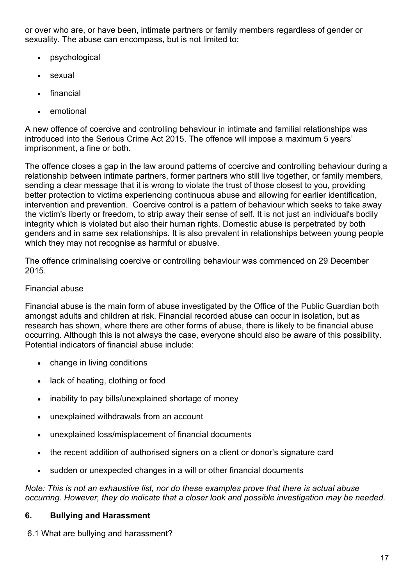or over who are, or have been, intimate partners or family members regardless of gender or sexuality. The abuse can encompass, but is not limited to:

- psychological
- sexual
- financial
- emotional

A new offence of coercive and controlling behaviour in intimate and familial relationships was introduced into the Serious Crime Act 2015. The offence will impose a maximum 5 years' imprisonment, a fine or both.

The offence closes a gap in the law around patterns of coercive and controlling behaviour during a relationship between intimate partners, former partners who still live together, or family members, sending a clear message that it is wrong to violate the trust of those closest to you, providing better protection to victims experiencing continuous abuse and allowing for earlier identification, intervention and prevention. Coercive control is a pattern of behaviour which seeks to take away the victim's liberty or freedom, to strip away their sense of self. It is not just an individual's bodily integrity which is violated but also their human rights. Domestic abuse is perpetrated by both genders and in same sex relationships. It is also prevalent in relationships between young people which they may not recognise as harmful or abusive.

The offence criminalising coercive or controlling behaviour was commenced on 29 December 2015.

#### Financial abuse

Financial abuse is the main form of abuse investigated by the Office of the Public Guardian both amongst adults and children at risk. Financial recorded abuse can occur in isolation, but as research has shown, where there are other forms of abuse, there is likely to be financial abuse occurring. Although this is not always the case, everyone should also be aware of this possibility. Potential indicators of financial abuse include:

- change in living conditions
- lack of heating, clothing or food
- inability to pay bills/unexplained shortage of money
- unexplained withdrawals from an account
- unexplained loss/misplacement of financial documents
- the recent addition of authorised signers on a client or donor's signature card
- sudden or unexpected changes in a will or other financial documents

*Note: This is not an exhaustive list, nor do these examples prove that there is actual abuse occurring. However, they do indicate that a closer look and possible investigation may be needed.*

#### **6. Bullying and Harassment**

6.1 What are bullying and harassment?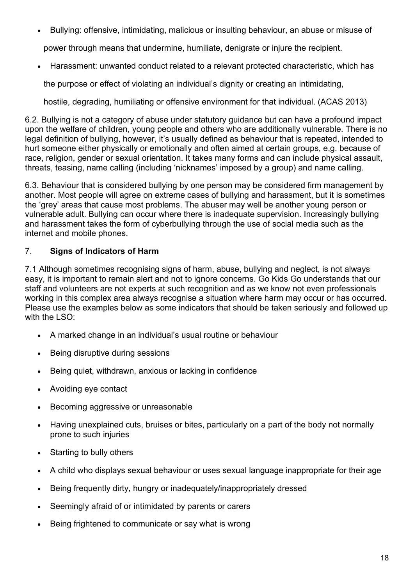• Bullying: offensive, intimidating, malicious or insulting behaviour, an abuse or misuse of

power through means that undermine, humiliate, denigrate or injure the recipient.

• Harassment: unwanted conduct related to a relevant protected characteristic, which has

the purpose or effect of violating an individual's dignity or creating an intimidating,

hostile, degrading, humiliating or offensive environment for that individual. (ACAS 2013)

6.2. Bullying is not a category of abuse under statutory guidance but can have a profound impact upon the welfare of children, young people and others who are additionally vulnerable. There is no legal definition of bullying, however, it's usually defined as behaviour that is repeated, intended to hurt someone either physically or emotionally and often aimed at certain groups, e.g. because of race, religion, gender or sexual orientation. It takes many forms and can include physical assault, threats, teasing, name calling (including 'nicknames' imposed by a group) and name calling.

6.3. Behaviour that is considered bullying by one person may be considered firm management by another. Most people will agree on extreme cases of bullying and harassment, but it is sometimes the 'grey' areas that cause most problems. The abuser may well be another young person or vulnerable adult. Bullying can occur where there is inadequate supervision. Increasingly bullying and harassment takes the form of cyberbullying through the use of social media such as the internet and mobile phones.

## 7. **Signs of Indicators of Harm**

7.1 Although sometimes recognising signs of harm, abuse, bullying and neglect, is not always easy, it is important to remain alert and not to ignore concerns. Go Kids Go understands that our staff and volunteers are not experts at such recognition and as we know not even professionals working in this complex area always recognise a situation where harm may occur or has occurred. Please use the examples below as some indicators that should be taken seriously and followed up with the LSO:

- A marked change in an individual's usual routine or behaviour
- Being disruptive during sessions
- Being quiet, withdrawn, anxious or lacking in confidence
- Avoiding eye contact
- Becoming aggressive or unreasonable
- Having unexplained cuts, bruises or bites, particularly on a part of the body not normally prone to such injuries
- Starting to bully others
- A child who displays sexual behaviour or uses sexual language inappropriate for their age
- Being frequently dirty, hungry or inadequately/inappropriately dressed
- Seemingly afraid of or intimidated by parents or carers
- Being frightened to communicate or say what is wrong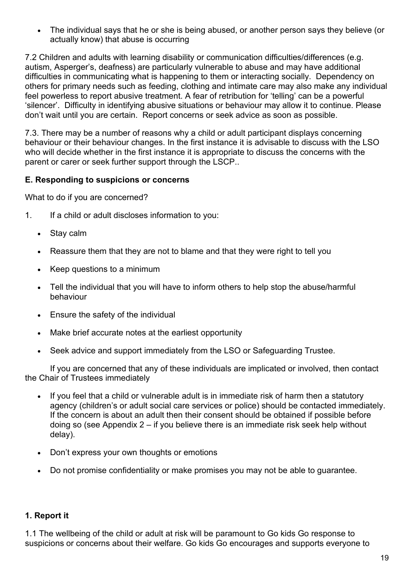• The individual says that he or she is being abused, or another person says they believe (or actually know) that abuse is occurring

7.2 Children and adults with learning disability or communication difficulties/differences (e.g. autism, Asperger's, deafness) are particularly vulnerable to abuse and may have additional difficulties in communicating what is happening to them or interacting socially. Dependency on others for primary needs such as feeding, clothing and intimate care may also make any individual feel powerless to report abusive treatment. A fear of retribution for 'telling' can be a powerful 'silencer'. Difficulty in identifying abusive situations or behaviour may allow it to continue. Please don't wait until you are certain. Report concerns or seek advice as soon as possible.

7.3. There may be a number of reasons why a child or adult participant displays concerning behaviour or their behaviour changes. In the first instance it is advisable to discuss with the LSO who will decide whether in the first instance it is appropriate to discuss the concerns with the parent or carer or seek further support through the LSCP..

#### **E. Responding to suspicions or concerns**

What to do if you are concerned?

- 1. If a child or adult discloses information to you:
	- Stay calm
	- Reassure them that they are not to blame and that they were right to tell you
	- Keep questions to a minimum
	- Tell the individual that you will have to inform others to help stop the abuse/harmful behaviour
	- Ensure the safety of the individual
	- Make brief accurate notes at the earliest opportunity
	- Seek advice and support immediately from the LSO or Safeguarding Trustee.

If you are concerned that any of these individuals are implicated or involved, then contact the Chair of Trustees immediately

- If you feel that a child or vulnerable adult is in immediate risk of harm then a statutory agency (children's or adult social care services or police) should be contacted immediately. If the concern is about an adult then their consent should be obtained if possible before doing so (see Appendix 2 – if you believe there is an immediate risk seek help without delay).
- Don't express your own thoughts or emotions
- Do not promise confidentiality or make promises you may not be able to guarantee.

#### **1. Report it**

1.1 The wellbeing of the child or adult at risk will be paramount to Go kids Go response to suspicions or concerns about their welfare. Go kids Go encourages and supports everyone to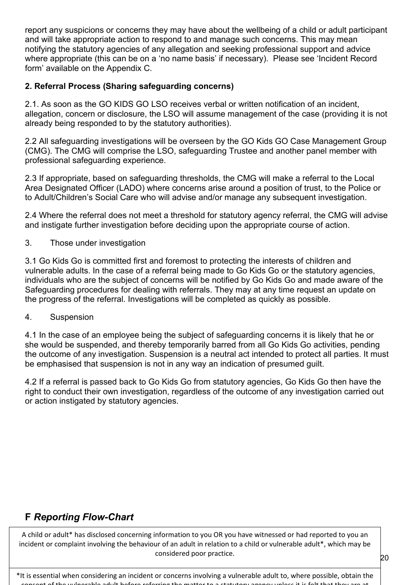report any suspicions or concerns they may have about the wellbeing of a child or adult participant and will take appropriate action to respond to and manage such concerns. This may mean notifying the statutory agencies of any allegation and seeking professional support and advice where appropriate (this can be on a 'no name basis' if necessary). Please see 'Incident Record form' available on the Appendix C.

#### **2. Referral Process (Sharing safeguarding concerns)**

2.1. As soon as the GO KIDS GO LSO receives verbal or written notification of an incident, allegation, concern or disclosure, the LSO will assume management of the case (providing it is not already being responded to by the statutory authorities).

2.2 All safeguarding investigations will be overseen by the GO Kids GO Case Management Group (CMG). The CMG will comprise the LSO, safeguarding Trustee and another panel member with professional safeguarding experience.

2.3 If appropriate, based on safeguarding thresholds, the CMG will make a referral to the Local Area Designated Officer (LADO) where concerns arise around a position of trust, to the Police or to Adult/Children's Social Care who will advise and/or manage any subsequent investigation.

2.4 Where the referral does not meet a threshold for statutory agency referral, the CMG will advise and instigate further investigation before deciding upon the appropriate course of action.

3. Those under investigation

3.1 Go Kids Go is committed first and foremost to protecting the interests of children and vulnerable adults. In the case of a referral being made to Go Kids Go or the statutory agencies, individuals who are the subject of concerns will be notified by Go Kids Go and made aware of the Safeguarding procedures for dealing with referrals. They may at any time request an update on the progress of the referral. Investigations will be completed as quickly as possible.

#### 4. Suspension

4.1 In the case of an employee being the subject of safeguarding concerns it is likely that he or she would be suspended, and thereby temporarily barred from all Go Kids Go activities, pending the outcome of any investigation. Suspension is a neutral act intended to protect all parties. It must be emphasised that suspension is not in any way an indication of presumed guilt.

4.2 If a referral is passed back to Go Kids Go from statutory agencies, Go Kids Go then have the right to conduct their own investigation, regardless of the outcome of any investigation carried out or action instigated by statutory agencies.

# **F** *Reporting Flow-Chart*

A child or adult\* has disclosed concerning information to you OR you have witnessed or had reported to you an incident or complaint involving the behaviour of an adult in relation to a child or vulnerable adult\*, which may be considered poor practice.

\*It is essential when considering an incident or concerns involving a vulnerable adult to, where possible, obtain the consent of the vulnerable adult before referring the matter to a statutory agency unless it is felt that they are at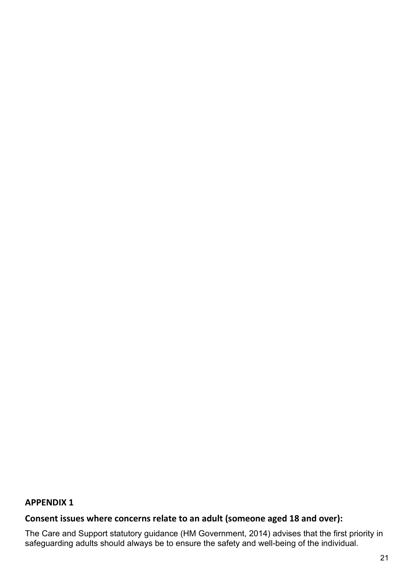#### **APPENDIX 1**

# **Consent issues where concerns relate to an adult (someone aged 18 and over):**

The Care and Support statutory guidance (HM Government, 2014) advises that the first priority in safeguarding adults should always be to ensure the safety and well-being of the individual.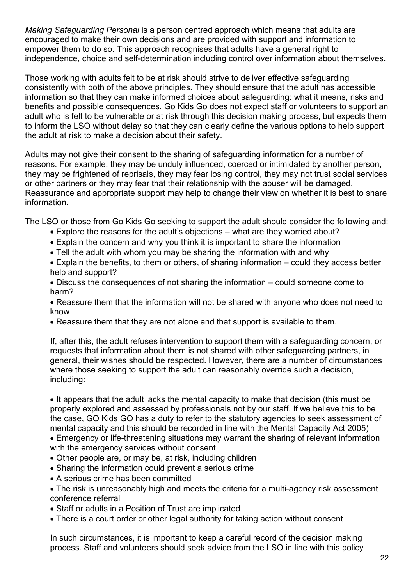*Making Safeguarding Personal* is a person centred approach which means that adults are encouraged to make their own decisions and are provided with support and information to empower them to do so. This approach recognises that adults have a general right to independence, choice and self-determination including control over information about themselves.

Those working with adults felt to be at risk should strive to deliver effective safeguarding consistently with both of the above principles. They should ensure that the adult has accessible information so that they can make informed choices about safeguarding: what it means, risks and benefits and possible consequences. Go Kids Go does not expect staff or volunteers to support an adult who is felt to be vulnerable or at risk through this decision making process, but expects them to inform the LSO without delay so that they can clearly define the various options to help support the adult at risk to make a decision about their safety.

Adults may not give their consent to the sharing of safeguarding information for a number of reasons. For example, they may be unduly influenced, coerced or intimidated by another person, they may be frightened of reprisals, they may fear losing control, they may not trust social services or other partners or they may fear that their relationship with the abuser will be damaged. Reassurance and appropriate support may help to change their view on whether it is best to share information.

The LSO or those from Go Kids Go seeking to support the adult should consider the following and:

- Explore the reasons for the adult's objections what are they worried about?
- Explain the concern and why you think it is important to share the information
- Tell the adult with whom you may be sharing the information with and why

• Explain the benefits, to them or others, of sharing information – could they access better help and support?

• Discuss the consequences of not sharing the information – could someone come to harm?

• Reassure them that the information will not be shared with anyone who does not need to know

• Reassure them that they are not alone and that support is available to them.

If, after this, the adult refuses intervention to support them with a safeguarding concern, or requests that information about them is not shared with other safeguarding partners, in general, their wishes should be respected. However, there are a number of circumstances where those seeking to support the adult can reasonably override such a decision, including:

• It appears that the adult lacks the mental capacity to make that decision (this must be properly explored and assessed by professionals not by our staff. If we believe this to be the case, GO Kids GO has a duty to refer to the statutory agencies to seek assessment of mental capacity and this should be recorded in line with the Mental Capacity Act 2005)

• Emergency or life-threatening situations may warrant the sharing of relevant information with the emergency services without consent

- Other people are, or may be, at risk, including children
- Sharing the information could prevent a serious crime
- A serious crime has been committed
- The risk is unreasonably high and meets the criteria for a multi-agency risk assessment conference referral
- Staff or adults in a Position of Trust are implicated
- There is a court order or other legal authority for taking action without consent

In such circumstances, it is important to keep a careful record of the decision making process. Staff and volunteers should seek advice from the LSO in line with this policy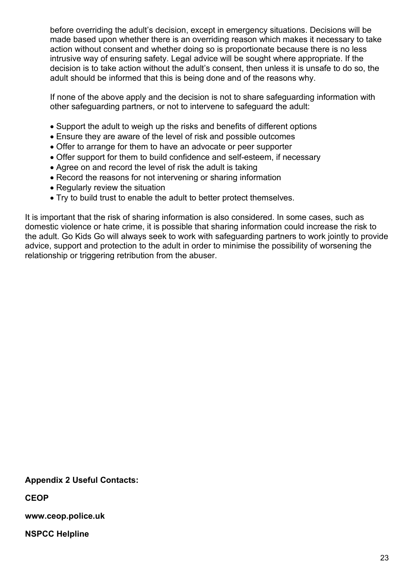before overriding the adult's decision, except in emergency situations. Decisions will be made based upon whether there is an overriding reason which makes it necessary to take action without consent and whether doing so is proportionate because there is no less intrusive way of ensuring safety. Legal advice will be sought where appropriate. If the decision is to take action without the adult's consent, then unless it is unsafe to do so, the adult should be informed that this is being done and of the reasons why.

If none of the above apply and the decision is not to share safeguarding information with other safeguarding partners, or not to intervene to safeguard the adult:

- Support the adult to weigh up the risks and benefits of different options
- Ensure they are aware of the level of risk and possible outcomes
- Offer to arrange for them to have an advocate or peer supporter
- Offer support for them to build confidence and self-esteem, if necessary
- Agree on and record the level of risk the adult is taking
- Record the reasons for not intervening or sharing information
- Regularly review the situation
- Try to build trust to enable the adult to better protect themselves.

It is important that the risk of sharing information is also considered. In some cases, such as domestic violence or hate crime, it is possible that sharing information could increase the risk to the adult. Go Kids Go will always seek to work with safeguarding partners to work jointly to provide advice, support and protection to the adult in order to minimise the possibility of worsening the relationship or triggering retribution from the abuser.

**Appendix 2 Useful Contacts:**

**CEOP**

**www.ceop.police.uk**

**NSPCC Helpline**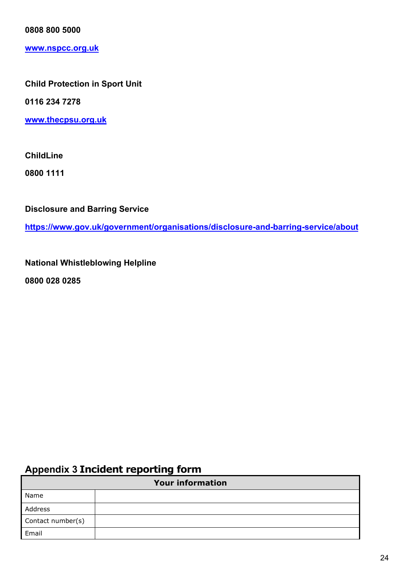**0808 800 5000** 

**[www.nspcc.org.uk](http://www.nspcc.org.uk/)**

#### **Child Protection in Sport Unit**

**0116 234 7278**

**[www.thecpsu.org.uk](http://www.thecpsu.org.uk/)**

**ChildLine**

**0800 1111**

**Disclosure and Barring Service** 

**<https://www.gov.uk/government/organisations/disclosure-and-barring-service/about>**

**National Whistleblowing Helpline**

**0800 028 0285**

# **Appendix 3 Incident reporting form**

| <b>Your information</b> |  |  |
|-------------------------|--|--|
| Name                    |  |  |
| Address                 |  |  |
| Contact number(s)       |  |  |
| Email                   |  |  |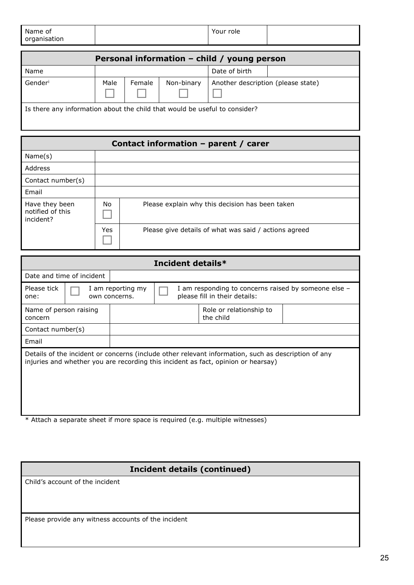| Name of<br>organisation | Your role |  |
|-------------------------|-----------|--|
|                         |           |  |

| Personal information - child / young person                                |      |        |            |                                    |  |
|----------------------------------------------------------------------------|------|--------|------------|------------------------------------|--|
| Name                                                                       |      |        |            | Date of birth                      |  |
| Genderi                                                                    | Male | Female | Non-binary | Another description (please state) |  |
| Is there any information about the child that would be useful to consider? |      |        |            |                                    |  |

| Contact information - parent / carer            |     |                                                       |  |  |
|-------------------------------------------------|-----|-------------------------------------------------------|--|--|
| Name(s)                                         |     |                                                       |  |  |
| Address                                         |     |                                                       |  |  |
| Contact number(s)                               |     |                                                       |  |  |
| Email                                           |     |                                                       |  |  |
| Have they been<br>notified of this<br>incident? | No. | Please explain why this decision has been taken       |  |  |
|                                                 | Yes | Please give details of what was said / actions agreed |  |  |

| Incident details*                                                                                                                                                                        |                           |                                      |  |  |  |  |  |
|------------------------------------------------------------------------------------------------------------------------------------------------------------------------------------------|---------------------------|--------------------------------------|--|--|--|--|--|
|                                                                                                                                                                                          | Date and time of incident |                                      |  |  |  |  |  |
| Please tick<br>I am responding to concerns raised by someone else -<br>I am reporting my<br>please fill in their details:<br>own concerns.<br>one:                                       |                           |                                      |  |  |  |  |  |
| Name of person raising<br>concern                                                                                                                                                        |                           | Role or relationship to<br>the child |  |  |  |  |  |
| Contact number(s)                                                                                                                                                                        |                           |                                      |  |  |  |  |  |
| Email                                                                                                                                                                                    |                           |                                      |  |  |  |  |  |
| Details of the incident or concerns (include other relevant information, such as description of any<br>injuries and whether you are recording this incident as fact, opinion or hearsay) |                           |                                      |  |  |  |  |  |

Attach a separate sheet if more space is required (e.g. multiple witnesses)

# **Incident details (continued)**

Child's account of the incident

Please provide any witness accounts of the incident